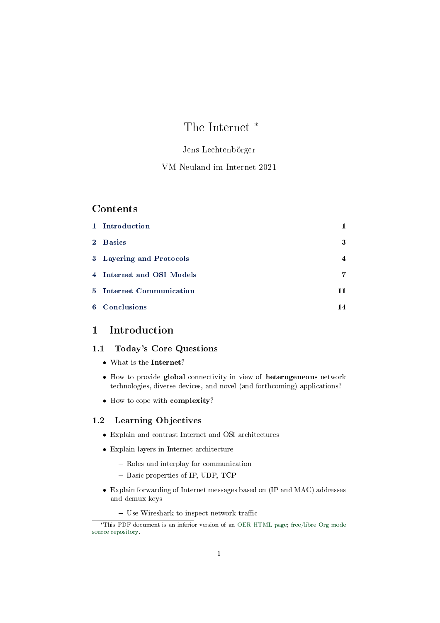# The Internet \*

### Jens Lechtenbörger

## VM Neuland im Internet 2021

## Contents

| 1 Introduction            | 1              |
|---------------------------|----------------|
| 2 Basics                  | 3              |
| 3 Layering and Protocols  | $\overline{4}$ |
| 4 Internet and OSI Models | 7              |
| 5 Internet Communication  | 11             |
| 6 Conclusions             | 14             |

## <span id="page-0-0"></span>1 Introduction

### 1.1 Today's Core Questions

- What is the Internet?
- How to provide global connectivity in view of heterogeneous network technologies, diverse devices, and novel (and forthcoming) applications?
- How to cope with complexity?

### 1.2 Learning Objectives

- Explain and contrast Internet and OSI architectures
- Explain layers in Internet architecture
	- Roles and interplay for communication
	- Basic properties of IP, UDP, TCP
- Explain forwarding of Internet messages based on (IP and MAC) addresses and demux keys
	- $-$  Use Wireshark to inspect network traffic

<sup>\*</sup>This PDF document is an inferior version of an [OER HTML page;](https://oer.gitlab.io/oer-courses/vm-neuland/Internet.html) [free/libre Org mode](https://gitlab.com/oer/oer-courses/vm-neuland) [source repository.](https://gitlab.com/oer/oer-courses/vm-neuland)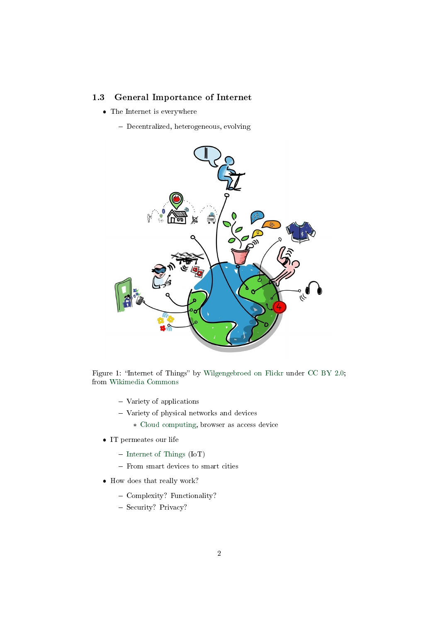### 1.3 General Importance of Internet

- The Internet is everywhere
	- Decentralized, heterogeneous, evolving



Figure 1: "Internet of Things" by [Wilgengebroed on Flickr](https://www.flickr.com/photos/wilgengebroed/) under [CC BY 2.0;](https://creativecommons.org/licenses/by/2.0/) from [Wikimedia Commons](https://commons.wikimedia.org/wiki/File:Internet_of_Things.jpg)

- Variety of applications
- Variety of physical networks and devices
	- \* [Cloud computing,](https://en.wikipedia.org/wiki/Cloud_computing) browser as access device
- IT permeates our life
	- $-$  [Internet of Things](https://en.wikipedia.org/wiki/Internet_of_things) (IoT)
	- From smart devices to smart cities
- How does that really work?
	- Complexity? Functionality?
	- Security? Privacy?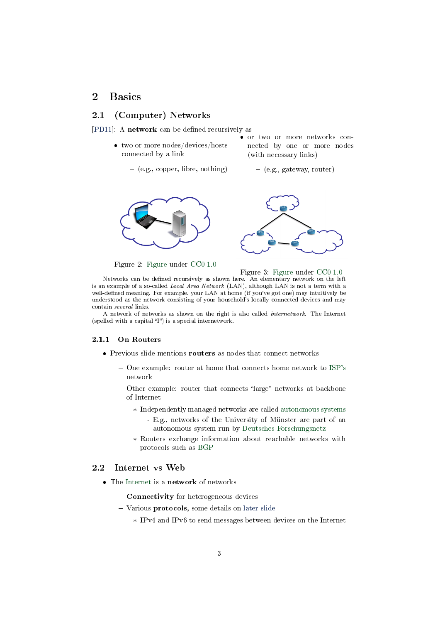## <span id="page-2-0"></span>2 Basics

### 2.1 (Computer) Networks

[\[PD11\]](#page-14-0): A network can be defined recursively as

- two or more nodes/devices/hosts connected by a link or two or more networks connected by one or more nodes (with necessary links)
	- $-$  (e.g., copper, fibre, nothing) (e.g., gateway, router)



Figure 2: [Figure](https://gitlab.com/oer/figures/blob/master/DS/network-link.png) under [CC0 1.0](https://creativecommons.org/publicdomain/zero/1.0/)

Figure 3: [Figure](https://gitlab.com/oer/figures/blob/master/DS/network-nodes.png) under [CC0 1.0](https://creativecommons.org/publicdomain/zero/1.0/)

Networks can be dened recursively as shown here. An elementary network on the left is an example of a so-called Local Area Network (LAN), although LAN is not a term with a well-defined meaning. For example, your LAN at home (if you've got one) may intuitively be understood as the network consisting of your household's locally connected devices and may contain several links.

A network of networks as shown on the right is also called internetwork. The Internet (spelled with a capital  $T$ ) is a special internetwork.

#### 2.1.1 On Routers

- Previous slide mentions **routers** as nodes that connect networks
	- One example: router at home that connects home network to [ISP's](https://en.wikipedia.org/wiki/Internet_service_provider) network
	- Other example: router that connects "large" networks at backbone of Internet
		- \* Independently managed networks are called [autonomous systems](https://en.wikipedia.org/wiki/Autonomous_system_(Internet))
			- · E.g., networks of the University of Münster are part of an autonomous system run by [Deutsches Forschungsnetz](https://www.dfn.de/)
		- \* Routers exchange information about reachable networks with protocols such as [BGP](https://en.wikipedia.org/wiki/Border_Gateway_Protocol)

#### 2.2 Internet vs Web

- The [Internet](https://en.wikipedia.org/wiki/Internet) is a network of networks
	- Connectivity for heterogeneous devices
	- Various **protocols**, some details on [later slide](#page-8-0)
		- \* IPv4 and IPv6 to send messages between devices on the Internet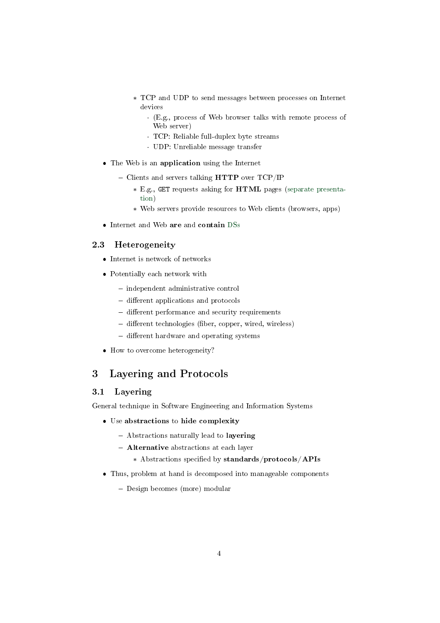- \* TCP and UDP to send messages between processes on Internet devices
	- · (E.g., process of Web browser talks with remote process of Web server)
	- · TCP: Reliable full-duplex byte streams
	- · UDP: Unreliable message transfer
- The Web is an application using the Internet
	- Clients and servers talking  $HTTP$  over TCP/IP
		- \* E.g., GET requests asking for HTML pages [\(separate presenta](https://oer.gitlab.io/oer-courses/cacs/Web-and-E-Mail.html)[tion\)](https://oer.gitlab.io/oer-courses/cacs/Web-and-E-Mail.html)
		- \* Web servers provide resources to Web clients (browsers, apps)
- Internet and Web are and contain [DSs](https://oer.gitlab.io/oer-courses/cacs/Distributed-Systems-Introduction.html)

#### 2.3 Heterogeneity

- Internet is network of networks
- Potentially each network with
	- $-$  independent administrative control
	- different applications and protocols
	- different performance and security requirements
	- $-$  different technologies (fiber, copper, wired, wireless)
	- different hardware and operating systems
- How to overcome heterogeneity?

## <span id="page-3-0"></span>3 Layering and Protocols

## 3.1 Layering

General technique in Software Engineering and Information Systems

- Use abstractions to hide complexity
	- Abstractions naturally lead to layering
	- **Alternative** abstractions at each layer
		- \* Abstractions specified by standards/protocols/APIs
- Thus, problem at hand is decomposed into manageable components
	- Design becomes (more) modular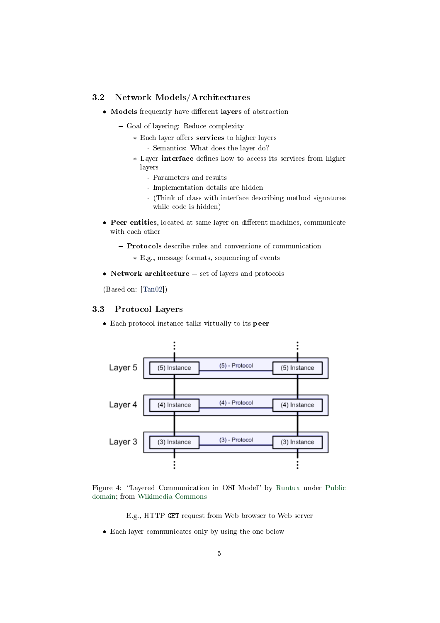#### 3.2 Network Models/Architectures

- Models frequently have different layers of abstraction
	- Goal of layering: Reduce complexity
		- \* Each layer offers services to higher layers · Semantics: What does the layer do?
		- \* Layer interface defines how to access its services from higher layers
			- · Parameters and results
			- · Implementation details are hidden
			- · (Think of class with interface describing method signatures while code is hidden)
- Peer entities, located at same layer on different machines, communicate with each other
	- Protocols describe rules and conventions of communication
		- \* E.g., message formats, sequencing of events
- Network architecture  $=$  set of layers and protocols

(Based on: [\[Tan02\]](#page-14-1))

#### 3.3 Protocol Layers

Each protocol instance talks virtually to its peer



Figure 4: "Layered Communication in OSI Model" by [Runtux](https://commons.wikimedia.org/wiki/User:Runtux) under [Public](https://en.wikipedia.org/wiki/Public_domain) [domain;](https://en.wikipedia.org/wiki/Public_domain) from [Wikimedia Commons](https://commons.wikimedia.org/wiki/File:OSI-model-Communication.svg)

- E.g., HTTP GET request from Web browser to Web server
- Each layer communicates only by using the one below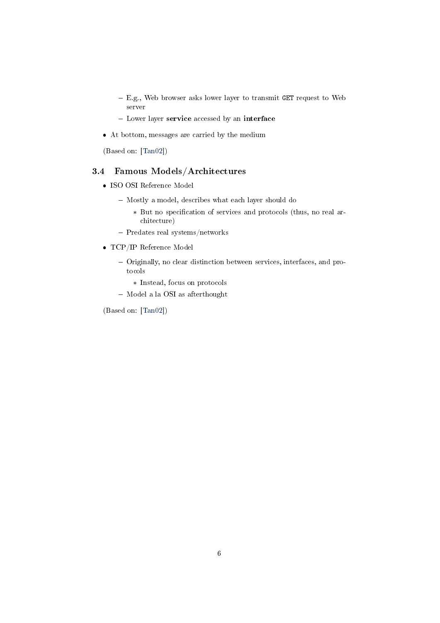- E.g., Web browser asks lower layer to transmit GET request to Web server
- Lower layer service accessed by an interface
- At bottom, messages are carried by the medium

(Based on: [\[Tan02\]](#page-14-1))

## 3.4 Famous Models/Architectures

- ISO OSI Reference Model
	- Mostly a model, describes what each layer should do
		- \* But no specification of services and protocols (thus, no real architecture)
	- Predates real systems/networks
- TCP/IP Reference Model
	- Originally, no clear distinction between services, interfaces, and protocols
		- \* Instead, focus on protocols
	- Model a la OSI as afterthought

(Based on: [\[Tan02\]](#page-14-1))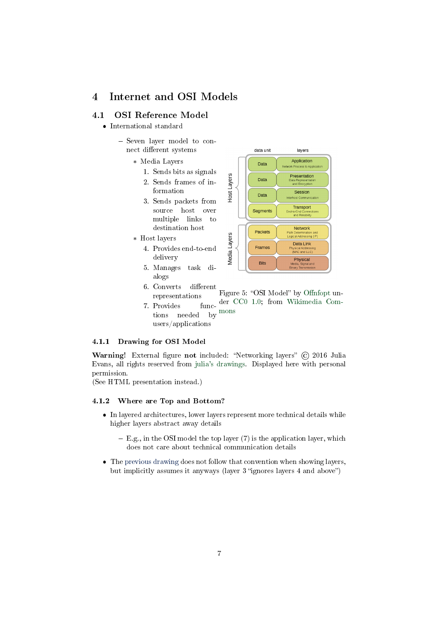## <span id="page-6-0"></span>4 Internet and OSI Models

### 4.1 OSI Reference Model

- International standard
	- Seven layer model to connect different systems
		- \* Media Layers
			- 1. Sends bits as signals
			- 2. Sends frames of information
			- 3. Sends packets from source host over multiple links to destination host
		- \* Host layers
			- 4. Provides end-to-end delivery
			- 5. Manages task dialogs



- 6. Converts different representations Figure 5: "OSI Model" by Offnfopt un-func- der [CC0 1.0;](https://creativecommons.org/publicdomain/zero/1.0/) from [Wikimedia Com-](https://commons.wikimedia.org/wiki/File:OSI_Model_v1.svg)
- 7. Provides functions needed by [mons](https://commons.wikimedia.org/wiki/File:OSI_Model_v1.svg) users/applications

#### <span id="page-6-1"></span>4.1.1 Drawing for OSI Model

Warning! External figure not included: "Networking layers" (C) 2016 Julia Evans, all rights reserved from [julia's drawings.](https://drawings.jvns.ca/layers/) Displayed here with personal permission.

(See HTML presentation instead.)

#### <span id="page-6-2"></span>4.1.2 Where are Top and Bottom?

- In layered architectures, lower layers represent more technical details while higher layers abstract away details
	- $E.g.,$  in the OSI model the top layer (7) is the application layer, which does not care about technical communication details
- The [previous drawing](#page-6-1) does not follow that convention when showing layers, but implicitly assumes it anyways (layer 3 "ignores layers 4 and above")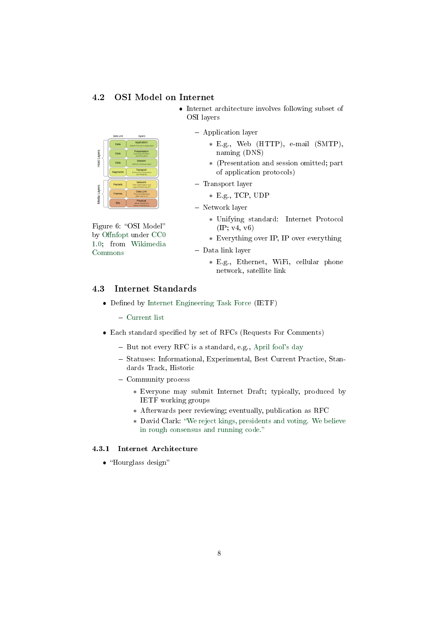#### 4.2 OSI Model on Internet

- Internet architecture involves following subset of OSI layers
- Application layer
	- \* E.g., Web (HTTP), e-mail (SMTP), naming (DNS)
	- \* (Presentation and session omitted; part of application protocols)
	- Transport layer
		- \* E.g., TCP, UDP
	- Network layer
- Figure 6: "OSI Model" by Offnfopt under [CC0](https://creativecommons.org/publicdomain/zero/1.0/) [1.0;](https://creativecommons.org/publicdomain/zero/1.0/) from [Wikimedia](https://commons.wikimedia.org/wiki/File:OSI_Model_v1.svg) [Commons](https://commons.wikimedia.org/wiki/File:OSI_Model_v1.svg)

ata Link

Host Layers

Layers

Media I

- \* Unifying standard: Internet Protocol (IP; v4, v6)
- \* Everything over IP, IP over everything
- Data link layer
	- \* E.g., Ethernet, WiFi, cellular phone network, satellite link

#### 4.3 Internet Standards

- Defined by [Internet Engineering Task Force](https://www.ietf.org/) (IETF)
	- [Current list](https://www.rfc-editor.org/standards)
- $\bullet$  Each standard specified by set of RFCs (Requests For Comments)
	- $-$  But not every RFC is a standard, e.g., [April fool's day](https://en.wikipedia.org/wiki/April_Fools)
	- Statuses: Informational, Experimental, Best Current Practice, Standards Track, Historic
	- Community process
		- \* Everyone may submit Internet Draft; typically, produced by IETF working groups
		- \* Afterwards peer reviewing; eventually, publication as RFC
		- \* David Clark: [We reject kings, presidents and voting. We believe](https://www.ietf.org/tao.html) [in rough consensus and running code.](https://www.ietf.org/tao.html)

### 4.3.1 Internet Architecture

 $\bullet$  "Hourglass design"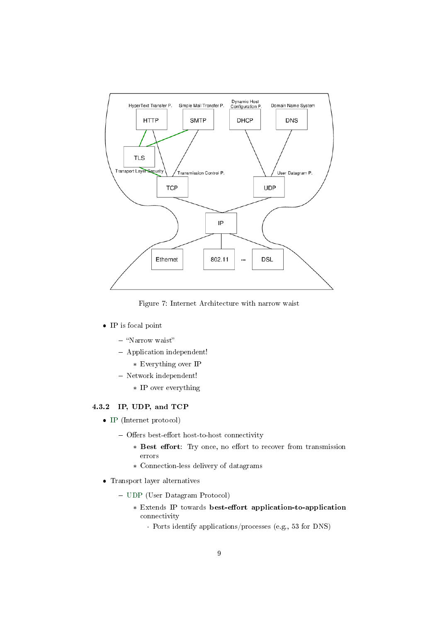

Figure 7: Internet Architecture with narrow waist

- IP is focal point
	- $-$  "Narrow waist"  $\,$
	- Application independent!
		- \* Everything over IP
	- Network independent!
		- \* IP over everything

#### <span id="page-8-0"></span>4.3.2 IP, UDP, and TCP

- [IP](https://en.wikipedia.org/wiki/Internet_Protocol) (Internet protocol)
	- Offers best-effort host-to-host connectivity
		- \* Best effort: Try once, no effort to recover from transmission errors
		- \* Connection-less delivery of datagrams
- Transport layer alternatives
	- [UDP](https://en.wikipedia.org/wiki/User_Datagram_Protocol) (User Datagram Protocol)
		- \* Extends IP towards best-effort application-to-application connectivity
			- · Ports identify applications/processes (e.g., 53 for DNS)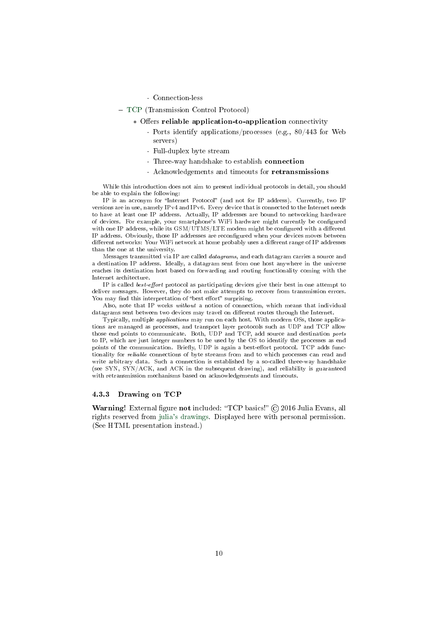#### · Connection-less

- [TCP](https://en.wikipedia.org/wiki/Transmission_Control_Protocol) (Transmission Control Protocol)
	- \* Offers reliable application-to-application connectivity
		- · Ports identify applications/processes (e.g., 80/443 for Web servers)
		- · Full-duplex byte stream
		- · Three-way handshake to establish connection
		- · Acknowledgements and timeouts for retransmissions

While this introduction does not aim to present individual protocols in detail, you should be able to explain the following:

IP is an acronym for "Internet Protocol" (and not for IP address). Currently, two IP versions are in use, namely IPv4 and IPv6. Every device that is connected to the Internet needs to have at least one IP address. Actually, IP addresses are bound to networking hardware of devices. For example, your smartphone's WiFi hardware might currently be configured with one IP address, while its  $\text{GSM} / \text{UTMS} / \text{LTE}$  modem might be configured with a different IP address. Obviously, those IP addresses are recongured when your devices moves between different networks: Your WiFi network at home probably uses a different range of IP addresses than the one at the university.

Messages transmitted via IP are called datagrams, and each datagram carries a source and a destination IP address. Ideally, a datagram sent from one host anywhere in the universe reaches its destination host based on forwarding and routing functionality coming with the Internet architecture.

IP is called *best-effort* protocol as participating devices give their best in one attempt to deliver messages. However, they do not make attempts to recover from transmission errors. You may find this interpretation of "best effort" surprising.

Also, note that IP works without a notion of connection, which means that individual datagrams sent between two devices may travel on different routes through the Internet.

Typically, multiple applications may run on each host. With modern OSs, those applications are managed as processes, and transport layer protocols such as UDP and TCP allow those end points to communicate. Both, UDP and TCP, add source and destination ports to IP, which are just integer numbers to be used by the OS to identify the processes as end points of the communication. Briefly, UDP is again a best-effort protocol. TCP adds functionality for reliable connections of byte streams from and to which processes can read and write arbitrary data. Such a connection is established by a so-called three-way handshake (see SYN, SYN/ACK, and ACK in the subsequent drawing), and reliability is guaranteed with retransmission mechanisms based on acknowledgements and timeouts.

#### 4.3.3 Drawing on TCP

Warning! External figure not included: "TCP basics!" © 2016 Julia Evans, all rights reserved from [julia's drawings.](https://drawings.jvns.ca/tcp-1/) Displayed here with personal permission. (See HTML presentation instead.)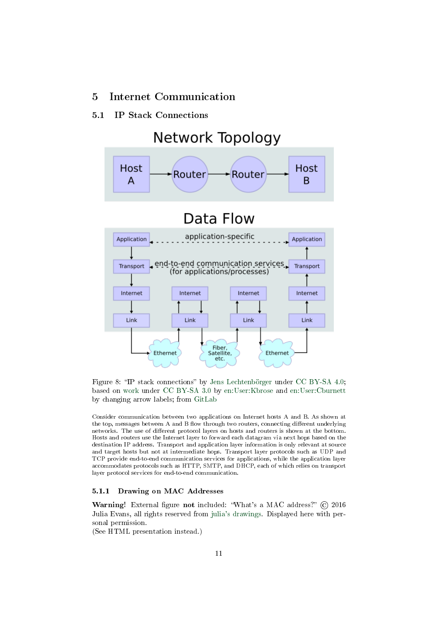## <span id="page-10-0"></span>5 Internet Communication

### 5.1 IP Stack Connections



Figure 8: "IP stack connections" by [Jens Lechtenbörger](https://lechten.gitlab.io/#me) under [CC BY-SA 4.0;](https://creativecommons.org/licenses/by-sa/4.0/) based on [work](https://commons.wikimedia.org/wiki/File:IP_stack_connections.svg) under [CC BY-SA 3.0](https://creativecommons.org/licenses/by-sa/3.0/) by [en:User:Kbrose](https://en.wikipedia.org/wiki/User:Kbrose) and [en:User:Cburnett](https://commons.wikimedia.org/wiki/User:Cburnett) by changing arrow labels; from [GitLab](https://gitlab.com/oer/figures/blob/master/DS/IP_stack_connections.svg)

Consider communication between two applications on Internet hosts A and B. As shown at the top, messages between A and B flow through two routers, connecting different underlying networks. The use of different protocol layers on hosts and routers is shown at the bottom. Hosts and routers use the Internet layer to forward each datagram via next hops based on the destination IP address. Transport and application layer information is only relevant at source and target hosts but not at intermediate hops. Transport layer protocols such as UDP and TCP provide end-to-end communication services for applications, while the application layer accommodates protocols such as HTTP, SMTP, and DHCP, each of which relies on transport layer protocol services for end-to-end communication.

#### 5.1.1 Drawing on MAC Addresses

Warning! External figure not included: "What's a MAC address?" © 2016 Julia Evans, all rights reserved from [julia's drawings.](https://drawings.jvns.ca/mac-address/) Displayed here with personal permission.

(See HTML presentation instead.)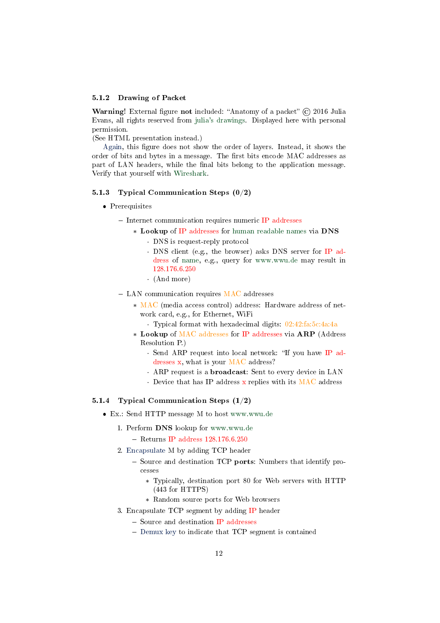#### 5.1.2 Drawing of Packet

**Warning!** External figure not included: "Anatomy of a packet"  $\odot$  2016 Julia Evans, all rights reserved from [julia's drawings.](https://drawings.jvns.ca/packet/) Displayed here with personal permission.

(See HTML presentation instead.)

[Again,](#page-6-2) this figure does not show the order of layers. Instead, it shows the order of bits and bytes in a message. The first bits encode MAC addresses as part of LAN headers, while the final bits belong to the application message. Verify that yourself with [Wireshark.](https://oer.gitlab.io/oer-courses/cacs/Wireshark-Demo.html)

#### 5.1.3 Typical Communication Steps (0/2)

- Prerequisites
	- Internet communication requires numeric IP addresses
		- \* Lookup of IP addresses for human readable names via DNS
			- · DNS is request-reply protocol
			- · DNS client (e.g., the browser) asks DNS server for IP address of name, e.g., query for www.wwu.de may result in 128.176.6.250
			- · (And more)
	- LAN communication requires MAC addresses
		- \* MAC (media access control) address: Hardware address of network card, e.g., for Ethernet, WiFi
			- · Typical format with hexadecimal digits: 02:42:fa:5c:4a:4a
		- \* Lookup of MAC addresses for IP addresses via ARP (Address Resolution P.)
			- · Send ARP request into local network: "If you have IP addresses x, what is your MAC address?
			- · ARP request is a broadcast: Sent to every device in LAN
			- $\cdot$  Device that has IP address x replies with its MAC address

#### 5.1.4 Typical Communication Steps (1/2)

- Ex.: Send HTTP message M to host www.wwu.de
	- 1. Perform DNS lookup for www.wwu.de
		- $-$  Returns IP address 128.176.6.250
	- 2. [Encapsulate](#page-13-1) M by adding TCP header
		- Source and destination TCP ports: Numbers that identify processes
			- \* Typically, destination port 80 for Web servers with HTTP (443 for HTTPS)
			- \* Random source ports for Web browsers
	- 3. Encapsulate TCP segment by adding IP header
		- Source and destination IP addresses
		- [Demux key](#page-13-1) to indicate that TCP segment is contained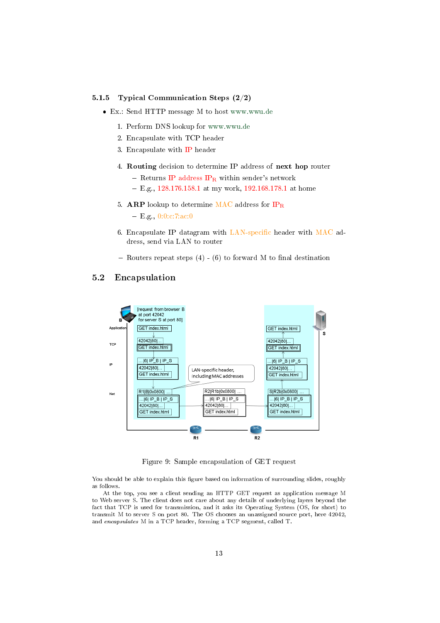#### 5.1.5 Typical Communication Steps (2/2)

- Ex.: Send HTTP message M to host www.wwu.de
	- 1. Perform DNS lookup for www.wwu.de
	- 2. Encapsulate with TCP header
	- 3. Encapsulate with IP header
	- 4. Routing decision to determine IP address of next hop router
		- Returns IP address  $IP_R$  within sender's network
		- $E. g., 128.176.158.1$  at my work, 192.168.178.1 at home
	- 5. ARP lookup to determine MAC address for  $IP_R$ 
		- $=$  E.g., 0:0:c:7:ac:0
	- 6. Encapsulate IP datagram with  $LAN-specific$  header with  $MAC$  address, send via LAN to router
	- Routers repeat steps  $(4)$   $(6)$  to forward M to final destination

#### 5.2 Encapsulation



Figure 9: Sample encapsulation of GET request

You should be able to explain this figure based on information of surrounding slides, roughly as follows.

At the top, you see a client sending an HTTP GET request as application message M to Web server S. The client does not care about any details of underlying layers beyond the fact that TCP is used for transmission, and it asks its Operating System (OS, for short) to transmit M to server S on port 80. The OS chooses an unassigned source port, here 42042, and encapsulates M in a TCP header, forming a TCP segment, called T.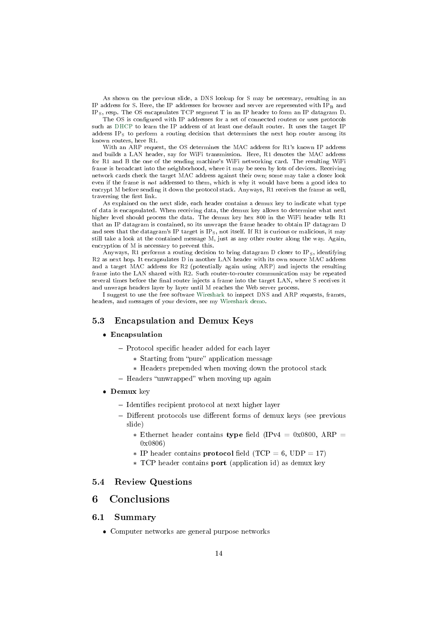As shown on the previous slide, a DNS lookup for S may be necessary, resulting in an IP address for S. Here, the IP addresses for browser and server are represented with IPB and IPS, resp. The OS encapsulates TCP segment T in an IP header to form an IP datagram D.

The OS is configured with IP addresses for a set of connected routers or uses protocols such as [DHCP](https://en.wikipedia.org/wiki/Dynamic_Host_Configuration_Protocol) to learn the IP address of at least one default router. It uses the target IP address  $IP<sub>S</sub>$  to perform a routing decision that determines the next hop router among its known routers, here R1.

With an ARP request, the OS determines the MAC address for R1's known IP address and builds a LAN header, say for WiFi transmission. Here, R1 denotes the MAC address for R1 and B the one of the sending machine's WiFi networking card. The resulting WiFi frame is broadcast into the neighborhood, where it may be seen by lots of devices. Receiving network cards check the target MAC address against their own; some may take a closer look even if the frame is not addressed to them, which is why it would have been a good idea to encrypt M before sending it down the protocol stack. Anyways, R1 receives the frame as well, traversing the first link.

As explained on the next slide, each header contains a demux key to indicate what type of data is encapsulated. When receiving data, the demux key allows to determine what next higher level should process the data. The demux key hex 800 in the WiFi header tells R1 that an IP datagram is contained, so its unwraps the frame header to obtain IP datagram D and sees that the datagram's IP target is  $IP_S$ , not itself. If R1 is curious or malicious, it may still take a look at the contained message M, just as any other router along the way. Again, encryption of M is necessary to prevent this.

Anyways, R1 performs a routing decision to bring datagram D closer to IPS, identifying R2 as next hop. It encapsulates D in another LAN header with its own source MAC address and a target MAC address for R2 (potentially again using ARP) and injects the resulting frame into the LAN shared with R2. Such router-to-router communication may be repeated several times before the final router injects a frame into the target LAN, where S receives it and unwraps headers layer by layer until M reaches the Web server process.

I suggest to use the free software [Wireshark](https://www.wireshark.org/) to inspect DNS and ARP requests, frames, headers, and messages of your devices, see my [Wireshark demo.](https://oer.gitlab.io/oer-courses/cacs/Wireshark-Demo.html)

#### <span id="page-13-1"></span>5.3 Encapsulation and Demux Keys

#### Encapsulation

- Protocol specific header added for each layer
	- \* Starting from "pure" application message
	- \* Headers prepended when moving down the protocol stack
- Headers "unwrapped" when moving up again
- Demux key
	- $-$  Identifies recipient protocol at next higher layer
	- Different protocols use different forms of demux keys (see previous slide)
		- \* Ethernet header contains type field (IPv4 = 0x0800, ARP = 0x0806)
		- \* IP header contains **protocol** field (TCP = 6, UDP = 17)
		- \* TCP header contains port (application id) as demux key

#### 5.4 Review Questions

## <span id="page-13-0"></span>6 Conclusions

#### 6.1 Summary

Computer networks are general purpose networks